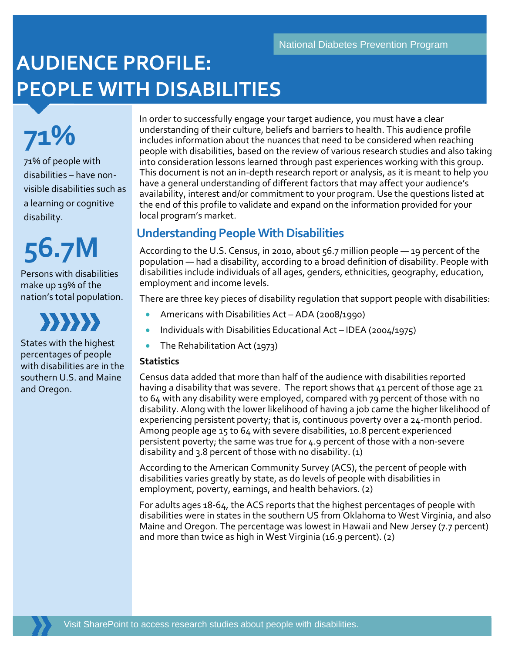# **AUDIENCE PROFILE: PEOPLE WITH DISABILITIES**

**71%** 71% of people with disabilities – have nonvisible disabilities such as a learning or cognitive disability.

# **56.7M**

Persons with disabilities make up 19% of the nation's total population.



States with the highest percentages of people with disabilities are in the southern U.S. and Maine and Oregon.

In order to successfully engage your target audience, you must have a clear understanding of their culture, beliefs and barriers to health. This audience profile includes information about the nuances that need to be considered when reaching people with disabilities, based on the review of various research studies and also taking into consideration lessons learned through past experiences working with this group. This document is not an in-depth research report or analysis, as it is meant to help you have a general understanding of different factors that may affect your audience's availability, interest and/or commitment to your program. Use the questions listed at the end of this profile to validate and expand on the information provided for your local program's market.

# **Understanding PeopleWith Disabilities**

According to the U.S. Census, in 2010, about 56.7 million people — 19 percent of the population — had a disability, according to a broad definition of disability. People with disabilities include individuals of all ages, genders, ethnicities, geography, education, employment and income levels.

There are three key pieces of disability regulation that support people with disabilities:

- Americans with Disabilities Act ADA (2008/1990)
- Individuals with Disabilities Educational Act IDEA (2004/1975)
- The Rehabilitation Act (1973)

#### **Statistics**

Census data added that more than half of the audience with disabilities reported having a disability that was severe. The report shows that 41 percent of those age 21 to 64 with any disability were employed, compared with 79 percent of those with no disability. Along with the lower likelihood of having a job came the higher likelihood of experiencing persistent poverty; that is, continuous poverty over a 24-month period. Among people age 15 to 64 with severe disabilities, 10.8 percent experienced persistent poverty; the same was true for 4.9 percent of those with a non-severe disability and 3.8 percent of those with no disability. (1)

According to the American Community Survey (ACS), the percent of people with disabilities varies greatly by state, as do levels of people with disabilities in employment, poverty, earnings, and health behaviors. (2)

For adults ages 18-64, the ACS reports that the highest percentages of people with disabilities were in states in the southern US from Oklahoma to West Virginia, and also Maine and Oregon. The percentage was lowest in Hawaii and New Jersey (7.7 percent) and more than twice as high in West Virginia (16.9 percent). (2)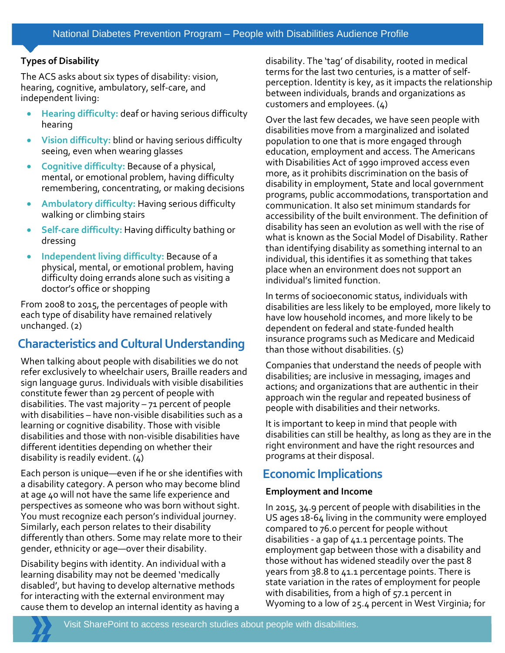#### **Types of Disability**

The ACS asks about six types of disability: vision, hearing, cognitive, ambulatory, self-care, and independent living:

- **Hearing difficulty:** deaf or having serious difficulty hearing
- **Vision difficulty:** blind or having serious difficulty seeing, even when wearing glasses
- **Cognitive difficulty:** Because of a physical, mental, or emotional problem, having difficulty remembering, concentrating, or making decisions
- **Ambulatory difficulty:** Having serious difficulty walking or climbing stairs
- **Self-care difficulty:** Having difficulty bathing or dressing
- **Independent living difficulty:** Because of a physical, mental, or emotional problem, having difficulty doing errands alone such as visiting a doctor's office or shopping

From 2008 to 2015, the percentages of people with each type of disability have remained relatively unchanged. (2)

# **Characteristics and Cultural Understanding**

When talking about people with disabilities we do not refer exclusively to wheelchair users, Braille readers and sign language gurus. Individuals with visible disabilities constitute fewer than 29 percent of people with disabilities. The vast majority – 71 percent of people with disabilities – have non-visible disabilities such as a learning or cognitive disability. Those with visible disabilities and those with non-visible disabilities have different identities depending on whether their disability is readily evident. (4)

Each person is unique—even if he or she identifies with a disability category. A person who may become blind at age 40 will not have the same life experience and perspectives as someone who was born without sight. You must recognize each person's individual journey. Similarly, each person relates to their disability differently than others. Some may relate more to their gender, ethnicity or age—over their disability.

Disability begins with identity. An individual with a learning disability may not be deemed 'medically disabled', but having to develop alternative methods for interacting with the external environment may cause them to develop an internal identity as having a

disability. The 'tag' of disability, rooted in medical terms for the last two centuries, is a matter of selfperception. Identity is key, as it impacts the relationship between individuals, brands and organizations as customers and employees. (4)

Over the last few decades, we have seen people with disabilities move from a marginalized and isolated population to one that is more engaged through education, employment and access. The Americans with Disabilities Act of 1990 improved access even more, as it prohibits discrimination on the basis of disability in employment, State and local government programs, public accommodations, transportation and communication. It also set minimum standards for accessibility of the built environment. The definition of disability has seen an evolution as well with the rise of what is known as the Social Model of Disability. Rather than identifying disability as something internal to an individual, this identifies it as something that takes place when an environment does not support an individual's limited function.

In terms of socioeconomic status, individuals with disabilities are less likely to be employed, more likely to have low household incomes, and more likely to be dependent on federal and state-funded health insurance programs such as Medicare and Medicaid than those without disabilities. (5)

Companies that understand the needs of people with disabilities; are inclusive in messaging, images and actions; and organizations that are authentic in their approach win the regular and repeated business of people with disabilities and their networks.

It is important to keep in mind that people with disabilities can still be healthy, as long as they are in the right environment and have the right resources and programs at their disposal.

# **Economic Implications**

#### **Employment and Income**

In 2015, 34.9 percent of people with disabilities in the US ages 18-64 living in the community were employed compared to 76.0 percent for people without disabilities - a gap of 41.1 percentage points. The employment gap between those with a disability and those without has widened steadily over the past 8 years from 38.8 to 41.1 percentage points. There is state variation in the rates of employment for people with disabilities, from a high of 57.1 percent in Wyoming to a low of 25.4 percent in West Virginia; for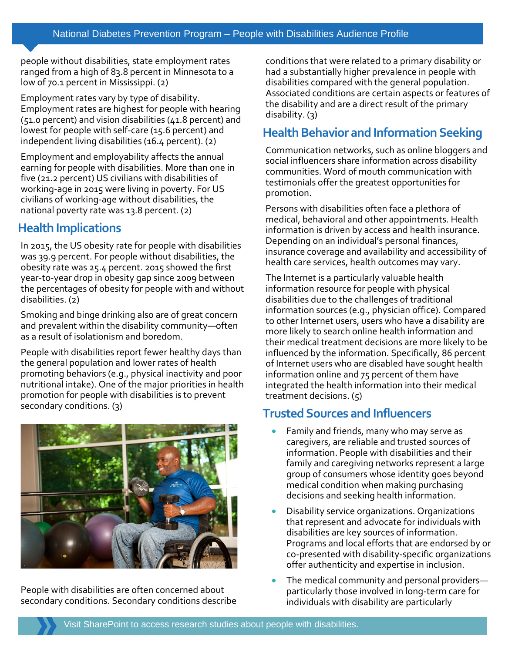people without disabilities, state employment rates ranged from a high of 83.8 percent in Minnesota to a low of 70.1 percent in Mississippi. (2)

Employment rates vary by type of disability. Employment rates are highest for people with hearing (51.0 percent) and vision disabilities (41.8 percent) and lowest for people with self-care (15.6 percent) and independent living disabilities (16.4 percent). (2)

Employment and employability affects the annual earning for people with disabilities. More than one in five (21.2 percent) US civilians with disabilities of working-age in 2015 were living in poverty. For US civilians of working-age without disabilities, the national poverty rate was 13.8 percent. (2)

# **Health Implications**

In 2015, the US obesity rate for people with disabilities was 39.9 percent. For people without disabilities, the obesity rate was 25.4 percent. 2015 showed the first year-to-year drop in obesity gap since 2009 between the percentages of obesity for people with and without disabilities. (2)

Smoking and binge drinking also are of great concern and prevalent within the disability community—often as a result of isolationism and boredom.

People with disabilities report fewer healthy days than the general population and lower rates of health promoting behaviors (e.g., physical inactivity and poor nutritional intake). One of the major priorities in health promotion for people with disabilities is to prevent secondary conditions. (3)



People with disabilities are often concerned about secondary conditions. Secondary conditions describe

conditions that were related to a primary disability or had a substantially higher prevalence in people with disabilities compared with the general population. Associated conditions are certain aspects or features of the disability and are a direct result of the primary disability. (3)

# **Health Behavior and Information Seeking**

Communication networks, such as online bloggers and social influencers share information across disability communities. Word of mouth communication with testimonials offer the greatest opportunities for promotion.

Persons with disabilities often face a plethora of medical, behavioral and other appointments. Health information is driven by access and health insurance. Depending on an individual's personal finances, insurance coverage and availability and accessibility of health care services, health outcomes may vary.

The Internet is a particularly valuable health information resource for people with physical disabilities due to the challenges of traditional information sources (e.g., physician office). Compared to other Internet users, users who have a disability are more likely to search online health information and their medical treatment decisions are more likely to be influenced by the information. Specifically, 86 percent of Internet users who are disabled have sought health information online and 75 percent of them have integrated the health information into their medical treatment decisions. (5)

# **Trusted Sources and Influencers**

- Family and friends, many who may serve as caregivers, are reliable and trusted sources of information. People with disabilities and their family and caregiving networks represent a large group of consumers whose identity goes beyond medical condition when making purchasing decisions and seeking health information.
- Disability service organizations. Organizations that represent and advocate for individuals with disabilities are key sources of information. Programs and local efforts that are endorsed by or co-presented with disability-specific organizations offer authenticity and expertise in inclusion.
- The medical community and personal providers particularly those involved in long-term care for individuals with disability are particularly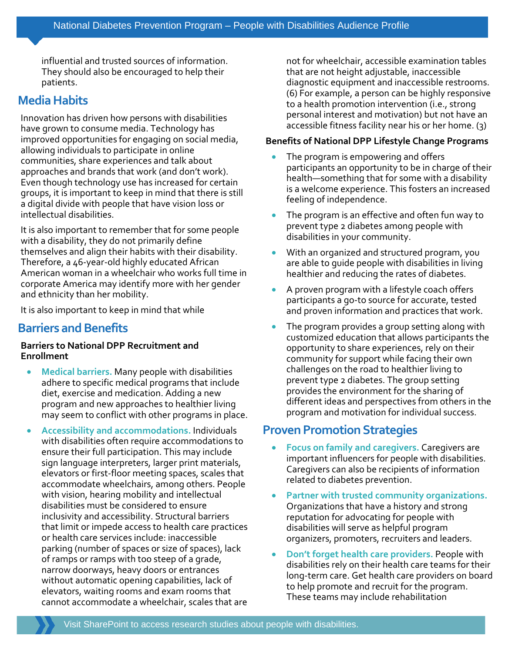influential and trusted sources of information. They should also be encouraged to help their patients.

## **Media Habits**

Innovation has driven how persons with disabilities have grown to consume media. Technology has improved opportunities for engaging on social media, allowing individuals to participate in online communities, share experiences and talk about approaches and brands that work (and don't work). Even though technology use has increased for certain groups, it is important to keep in mind that there is still a digital divide with people that have vision loss or intellectual disabilities.

It is also important to remember that for some people with a disability, they do not primarily define themselves and align their habits with their disability. Therefore, a 46-year-old highly educated African American woman in a wheelchair who works full time in corporate America may identify more with her gender and ethnicity than her mobility.

It is also important to keep in mind that while

### **Barriers and Benefits**

#### **Barriers to National DPP Recruitment and Enrollment**

- **Medical barriers.** Many people with disabilities adhere to specific medical programs that include diet, exercise and medication. Adding a new program and new approaches to healthier living may seem to conflict with other programs in place.
- **Accessibility and accommodations.** Individuals with disabilities often require accommodations to ensure their full participation. This may include sign language interpreters, larger print materials, elevators or first-floor meeting spaces, scales that accommodate wheelchairs, among others. People with vision, hearing mobility and intellectual disabilities must be considered to ensure inclusivity and accessibility. Structural barriers that limit or impede access to health care practices or health care services include: inaccessible parking (number of spaces or size of spaces), lack of ramps or ramps with too steep of a grade, narrow doorways, heavy doors or entrances without automatic opening capabilities, lack of elevators, waiting rooms and exam rooms that cannot accommodate a wheelchair, scales that are

not for wheelchair, accessible examination tables that are not height adjustable, inaccessible diagnostic equipment and inaccessible restrooms. (6) For example, a person can be highly responsive to a health promotion intervention (i.e., strong personal interest and motivation) but not have an accessible fitness facility near his or her home. (3)

#### **Benefits of National DPP Lifestyle Change Programs**

- The program is empowering and offers participants an opportunity to be in charge of their health—something that for some with a disability is a welcome experience. This fosters an increased feeling of independence.
- The program is an effective and often fun way to prevent type 2 diabetes among people with disabilities in your community.
- With an organized and structured program, you are able to guide people with disabilities in living healthier and reducing the rates of diabetes.
- A proven program with a lifestyle coach offers participants a go-to source for accurate, tested and proven information and practices that work.
- The program provides a group setting along with customized education that allows participants the opportunity to share experiences, rely on their community for support while facing their own challenges on the road to healthier living to prevent type 2 diabetes. The group setting provides the environment for the sharing of different ideas and perspectives from others in the program and motivation for individual success.

# **Proven Promotion Strategies**

- **Focus on family and caregivers.** Caregivers are important influencers for people with disabilities. Caregivers can also be recipients of information related to diabetes prevention.
- **Partner with trusted community organizations.** Organizations that have a history and strong reputation for advocating for people with disabilities will serve as helpful program organizers, promoters, recruiters and leaders.
- **Don't forget health care providers.** People with disabilities rely on their health care teams for their long-term care. Get health care providers on board to help promote and recruit for the program. These teams may include rehabilitation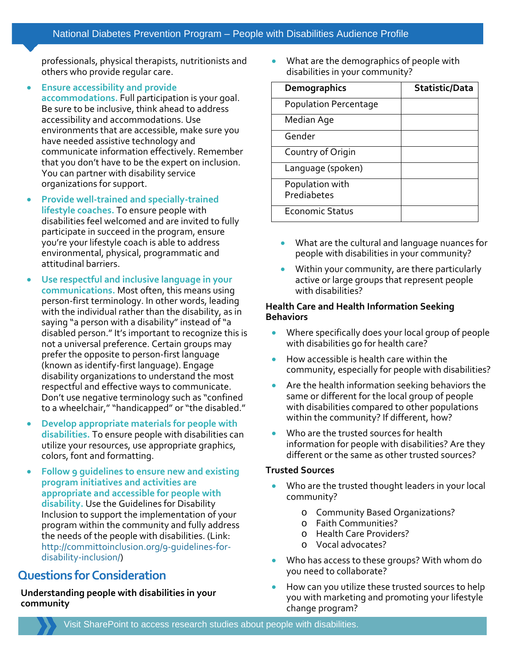professionals, physical therapists, nutritionists and others who provide regular care.

- **Ensure accessibility and provide accommodations.** Full participation is your goal. Be sure to be inclusive, think ahead to address accessibility and accommodations. Use environments that are accessible, make sure you have needed assistive technology and communicate information effectively. Remember that you don't have to be the expert on inclusion. You can partner with disability service organizations for support.
- **Provide well-trained and specially-trained lifestyle coaches.** To ensure people with disabilities feel welcomed and are invited to fully participate in succeed in the program, ensure you're your lifestyle coach is able to address environmental, physical, programmatic and attitudinal barriers.
- **Use respectful and inclusive language in your communications.** Most often, this means using person-first terminology. In other words, leading with the individual rather than the disability, as in saying "a person with a disability" instead of "a disabled person." It's important to recognize this is not a universal preference. Certain groups may prefer the opposite to person-first language (known as identify-first language). Engage disability organizations to understand the most respectful and effective ways to communicate. Don't use negative terminology such as "confined to a wheelchair," "handicapped" or "the disabled."
- **Develop appropriate materials for people with disabilities.** To ensure people with disabilities can utilize your resources, use appropriate graphics, colors, font and formatting.
- **Follow 9 guidelines to ensure new and existing program initiatives and activities are appropriate and accessible for people with disability.** Use the Guidelines for Disability Inclusion to support the implementation of your program within the community and fully address the needs of the people with disabilities. (Link: [http://committoinclusion.org/9-guidelines-for](http://committoinclusion.org/9-guidelines-for-disability-inclusion/)[disability-inclusion/\)](http://committoinclusion.org/9-guidelines-for-disability-inclusion/)

# **Questions for Consideration**

**Understanding people with disabilities in your community**

• What are the demographics of people with disabilities in your community?

| Demographics                   | Statistic/Data |
|--------------------------------|----------------|
| <b>Population Percentage</b>   |                |
| Median Age                     |                |
| Gender                         |                |
| Country of Origin              |                |
| Language (spoken)              |                |
| Population with<br>Prediabetes |                |
| <b>Economic Status</b>         |                |

- What are the cultural and language nuances for people with disabilities in your community?
- Within your community, are there particularly active or large groups that represent people with disabilities?

#### **Health Care and Health Information Seeking Behaviors**

- Where specifically does your local group of people with disabilities go for health care?
- How accessible is health care within the community, especially for people with disabilities?
- Are the health information seeking behaviors the same or different for the local group of people with disabilities compared to other populations within the community? If different, how?
- Who are the trusted sources for health information for people with disabilities? Are they different or the same as other trusted sources?

#### **Trusted Sources**

- Who are the trusted thought leaders in your local community?
	- o Community Based Organizations?
	- o Faith Communities?
	- o Health Care Providers?
	- o Vocal advocates?
- Who has access to these groups? With whom do you need to collaborate?
- How can you utilize these trusted sources to help you with marketing and promoting your lifestyle change program?